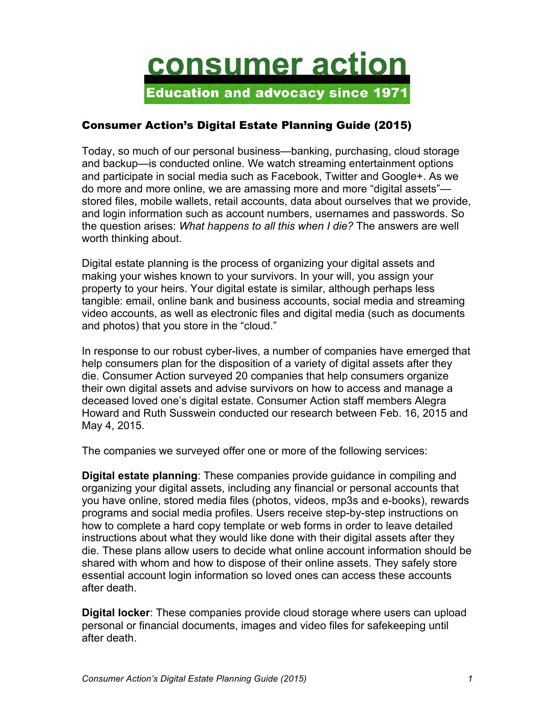

## Consumer Action's Digital Estate Planning Guide (2015)

Today, so much of our personal business—banking, purchasing, cloud storage and backup—is conducted online. We watch streaming entertainment options and participate in social media such as Facebook, Twitter and Google+. As we do more and more online, we are amassing more and more "digital assets" stored files, mobile wallets, retail accounts, data about ourselves that we provide, and login information such as account numbers, usernames and passwords. So the question arises: *What happens to all this when I die?* The answers are well worth thinking about.

Digital estate planning is the process of organizing your digital assets and making your wishes known to your survivors. In your will, you assign your property to your heirs. Your digital estate is similar, although perhaps less tangible: email, online bank and business accounts, social media and streaming video accounts, as well as electronic files and digital media (such as documents and photos) that you store in the "cloud."

In response to our robust cyber-lives, a number of companies have emerged that help consumers plan for the disposition of a variety of digital assets after they die. Consumer Action surveyed 20 companies that help consumers organize their own digital assets and advise survivors on how to access and manage a deceased loved one's digital estate. Consumer Action staff members Alegra Howard and Ruth Susswein conducted our research between Feb. 16, 2015 and May 4, 2015.

The companies we surveyed offer one or more of the following services:

**Digital estate planning**: These companies provide guidance in compiling and organizing your digital assets, including any financial or personal accounts that you have online, stored media files (photos, videos, mp3s and e-books), rewards programs and social media profiles. Users receive step-by-step instructions on how to complete a hard copy template or web forms in order to leave detailed instructions about what they would like done with their digital assets after they die. These plans allow users to decide what online account information should be shared with whom and how to dispose of their online assets. They safely store essential account login information so loved ones can access these accounts after death.

**Digital locker**: These companies provide cloud storage where users can upload personal or financial documents, images and video files for safekeeping until after death.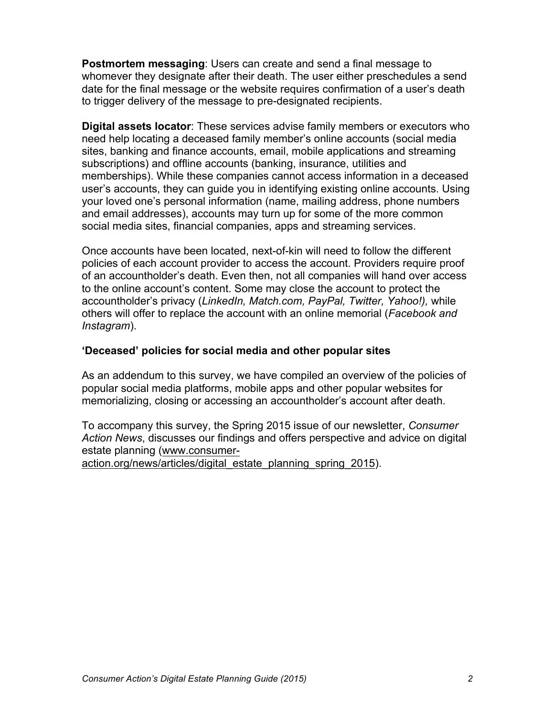**Postmortem messaging**: Users can create and send a final message to whomever they designate after their death. The user either preschedules a send date for the final message or the website requires confirmation of a user's death to trigger delivery of the message to pre-designated recipients.

**Digital assets locator**: These services advise family members or executors who need help locating a deceased family member's online accounts (social media sites, banking and finance accounts, email, mobile applications and streaming subscriptions) and offline accounts (banking, insurance, utilities and memberships). While these companies cannot access information in a deceased user's accounts, they can guide you in identifying existing online accounts. Using your loved one's personal information (name, mailing address, phone numbers and email addresses), accounts may turn up for some of the more common social media sites, financial companies, apps and streaming services.

Once accounts have been located, next-of-kin will need to follow the different policies of each account provider to access the account. Providers require proof of an accountholder's death. Even then, not all companies will hand over access to the online account's content. Some may close the account to protect the accountholder's privacy (*LinkedIn, Match.com, PayPal, Twitter, Yahoo!),* while others will offer to replace the account with an online memorial (*Facebook and Instagram*).

#### **'Deceased' policies for social media and other popular sites**

As an addendum to this survey, we have compiled an overview of the policies of popular social media platforms, mobile apps and other popular websites for memorializing, closing or accessing an accountholder's account after death.

To accompany this survey, the Spring 2015 issue of our newsletter, *Consumer Action News*, discusses our findings and offers perspective and advice on digital estate planning (www.consumer-

action.org/news/articles/digital\_estate\_planning\_spring\_2015).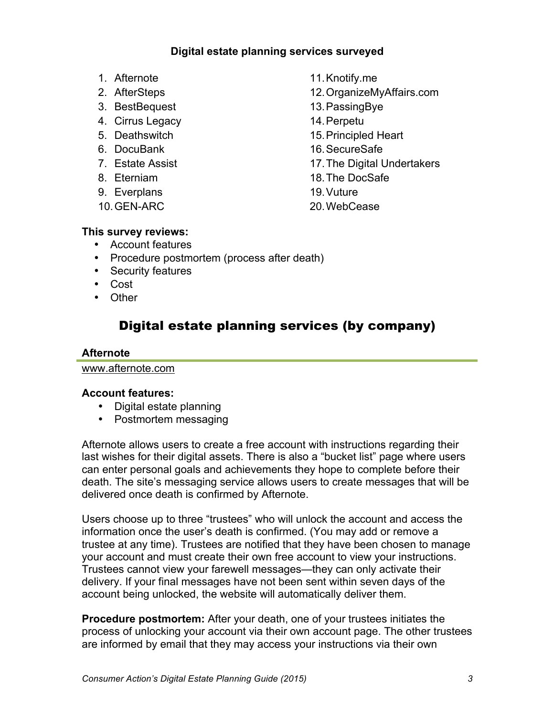## **Digital estate planning services surveyed**

- 1. Afternote
- 2. AfterSteps
- 3. BestBequest
- 4. Cirrus Legacy
- 5. Deathswitch
- 6. DocuBank
- 7. Estate Assist
- 8. Eterniam
- 9. Everplans
- 10.GEN-ARC

11.Knotify.me

- 12.OrganizeMyAffairs.com
- 13.PassingBye
- 14.Perpetu
- 15.Principled Heart
- 16.SecureSafe
- 17.The Digital Undertakers
- 18.The DocSafe
- 19.Vuture
- 20.WebCease

### **This survey reviews:**

- Account features
- Procedure postmortem (process after death)
- Security features
- Cost
- Other

# Digital estate planning services (by company)

### **Afternote**

www.afternote.com

### **Account features:**

- Digital estate planning
- Postmortem messaging

Afternote allows users to create a free account with instructions regarding their last wishes for their digital assets. There is also a "bucket list" page where users can enter personal goals and achievements they hope to complete before their death. The site's messaging service allows users to create messages that will be delivered once death is confirmed by Afternote.

Users choose up to three "trustees" who will unlock the account and access the information once the user's death is confirmed. (You may add or remove a trustee at any time). Trustees are notified that they have been chosen to manage your account and must create their own free account to view your instructions. Trustees cannot view your farewell messages—they can only activate their delivery. If your final messages have not been sent within seven days of the account being unlocked, the website will automatically deliver them.

**Procedure postmortem:** After your death, one of your trustees initiates the process of unlocking your account via their own account page. The other trustees are informed by email that they may access your instructions via their own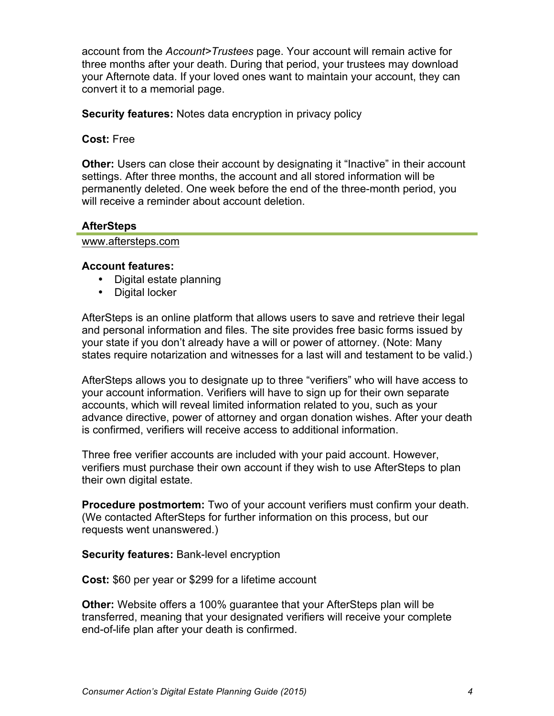account from the *Account>Trustees* page. Your account will remain active for three months after your death. During that period, your trustees may download your Afternote data. If your loved ones want to maintain your account, they can convert it to a memorial page.

**Security features:** Notes data encryption in privacy policy

**Cost:** Free

**Other:** Users can close their account by designating it "Inactive" in their account settings. After three months, the account and all stored information will be permanently deleted. One week before the end of the three-month period, you will receive a reminder about account deletion.

## **AfterSteps**

www.aftersteps.com

### **Account features:**

- Digital estate planning
- Digital locker

AfterSteps is an online platform that allows users to save and retrieve their legal and personal information and files. The site provides free basic forms issued by your state if you don't already have a will or power of attorney. (Note: Many states require notarization and witnesses for a last will and testament to be valid.)

AfterSteps allows you to designate up to three "verifiers" who will have access to your account information. Verifiers will have to sign up for their own separate accounts, which will reveal limited information related to you, such as your advance directive, power of attorney and organ donation wishes. After your death is confirmed, verifiers will receive access to additional information.

Three free verifier accounts are included with your paid account. However, verifiers must purchase their own account if they wish to use AfterSteps to plan their own digital estate.

**Procedure postmortem:** Two of your account verifiers must confirm your death. (We contacted AfterSteps for further information on this process, but our requests went unanswered.)

**Security features:** Bank-level encryption

**Cost:** \$60 per year or \$299 for a lifetime account

**Other:** Website offers a 100% guarantee that your AfterSteps plan will be transferred, meaning that your designated verifiers will receive your complete end-of-life plan after your death is confirmed.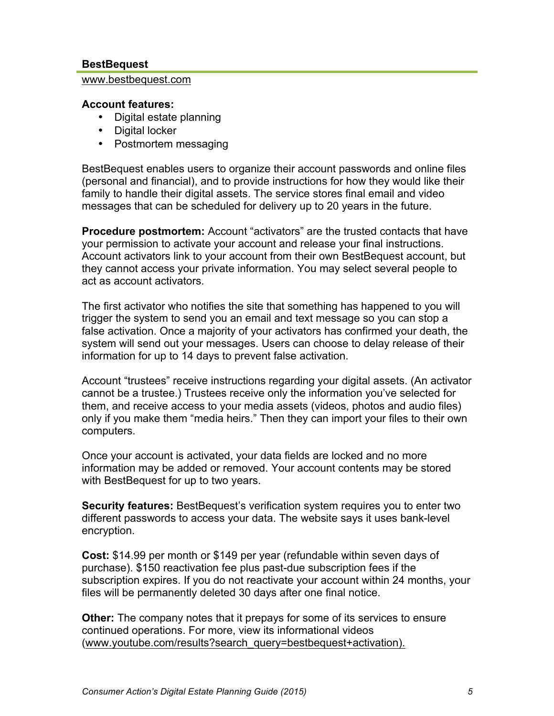#### **BestBequest**

#### www.bestbequest.com

#### **Account features:**

- Digital estate planning
- Digital locker
- Postmortem messaging

BestBequest enables users to organize their account passwords and online files (personal and financial), and to provide instructions for how they would like their family to handle their digital assets. The service stores final email and video messages that can be scheduled for delivery up to 20 years in the future.

**Procedure postmortem:** Account "activators" are the trusted contacts that have your permission to activate your account and release your final instructions. Account activators link to your account from their own BestBequest account, but they cannot access your private information. You may select several people to act as account activators.

The first activator who notifies the site that something has happened to you will trigger the system to send you an email and text message so you can stop a false activation. Once a majority of your activators has confirmed your death, the system will send out your messages. Users can choose to delay release of their information for up to 14 days to prevent false activation.

Account "trustees" receive instructions regarding your digital assets. (An activator cannot be a trustee.) Trustees receive only the information you've selected for them, and receive access to your media assets (videos, photos and audio files) only if you make them "media heirs." Then they can import your files to their own computers.

Once your account is activated, your data fields are locked and no more information may be added or removed. Your account contents may be stored with BestBequest for up to two years.

**Security features:** BestBequest's verification system requires you to enter two different passwords to access your data. The website says it uses bank-level encryption.

**Cost:** \$14.99 per month or \$149 per year (refundable within seven days of purchase). \$150 reactivation fee plus past-due subscription fees if the subscription expires. If you do not reactivate your account within 24 months, your files will be permanently deleted 30 days after one final notice.

**Other:** The company notes that it prepays for some of its services to ensure continued operations. For more, view its informational videos (www.youtube.com/results?search\_query=bestbequest+activation).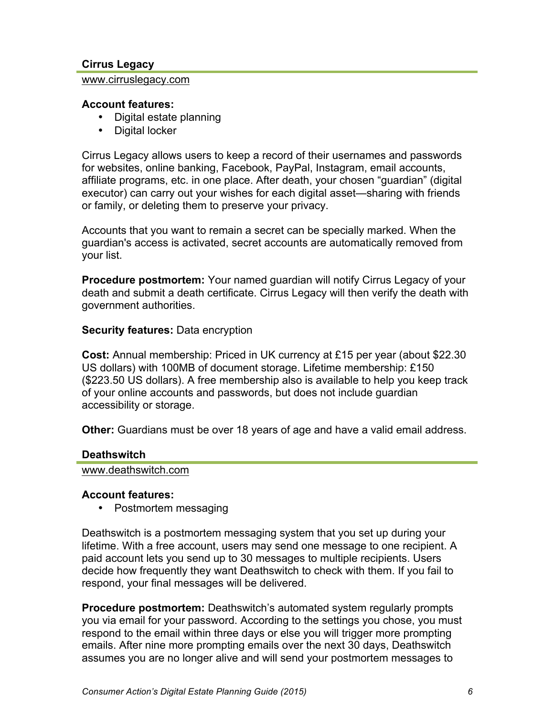### **Cirrus Legacy**

#### www.cirruslegacy.com

#### **Account features:**

- Digital estate planning
- Digital locker

Cirrus Legacy allows users to keep a record of their usernames and passwords for websites, online banking, Facebook, PayPal, Instagram, email accounts, affiliate programs, etc. in one place. After death, your chosen "guardian" (digital executor) can carry out your wishes for each digital asset—sharing with friends or family, or deleting them to preserve your privacy.

Accounts that you want to remain a secret can be specially marked. When the guardian's access is activated, secret accounts are automatically removed from your list.

**Procedure postmortem:** Your named guardian will notify Cirrus Legacy of your death and submit a death certificate. Cirrus Legacy will then verify the death with government authorities.

#### **Security features:** Data encryption

**Cost:** Annual membership: Priced in UK currency at £15 per year (about \$22.30 US dollars) with 100MB of document storage. Lifetime membership: £150 (\$223.50 US dollars). A free membership also is available to help you keep track of your online accounts and passwords, but does not include guardian accessibility or storage.

**Other:** Guardians must be over 18 years of age and have a valid email address.

#### **Deathswitch**

#### www.deathswitch.com

#### **Account features:**

• Postmortem messaging

Deathswitch is a postmortem messaging system that you set up during your lifetime. With a free account, users may send one message to one recipient. A paid account lets you send up to 30 messages to multiple recipients. Users decide how frequently they want Deathswitch to check with them. If you fail to respond, your final messages will be delivered.

**Procedure postmortem:** Deathswitch's automated system regularly prompts you via email for your password. According to the settings you chose, you must respond to the email within three days or else you will trigger more prompting emails. After nine more prompting emails over the next 30 days, Deathswitch assumes you are no longer alive and will send your postmortem messages to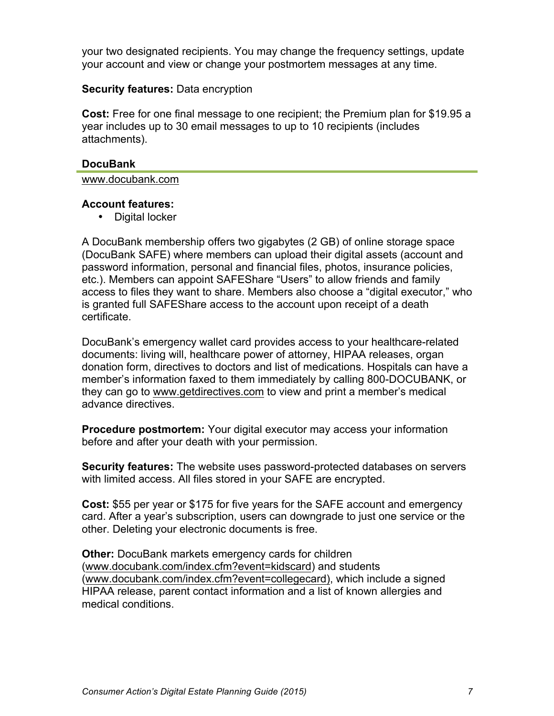your two designated recipients. You may change the frequency settings, update your account and view or change your postmortem messages at any time.

### **Security features:** Data encryption

**Cost:** Free for one final message to one recipient; the Premium plan for \$19.95 a year includes up to 30 email messages to up to 10 recipients (includes attachments).

#### **DocuBank**

www.docubank.com

#### **Account features:**

• Digital locker

A DocuBank membership offers two gigabytes (2 GB) of online storage space (DocuBank SAFE) where members can upload their digital assets (account and password information, personal and financial files, photos, insurance policies, etc.). Members can appoint SAFEShare "Users" to allow friends and family access to files they want to share. Members also choose a "digital executor," who is granted full SAFEShare access to the account upon receipt of a death certificate.

DocuBank's emergency wallet card provides access to your healthcare-related documents: living will, healthcare power of attorney, HIPAA releases, organ donation form, directives to doctors and list of medications. Hospitals can have a member's information faxed to them immediately by calling 800-DOCUBANK, or they can go to www.getdirectives.com to view and print a member's medical advance directives.

**Procedure postmortem:** Your digital executor may access your information before and after your death with your permission.

**Security features:** The website uses password-protected databases on servers with limited access. All files stored in your SAFE are encrypted.

**Cost:** \$55 per year or \$175 for five years for the SAFE account and emergency card. After a year's subscription, users can downgrade to just one service or the other. Deleting your electronic documents is free.

**Other:** DocuBank markets emergency cards for children (www.docubank.com/index.cfm?event=kidscard) and students (www.docubank.com/index.cfm?event=collegecard), which include a signed HIPAA release, parent contact information and a list of known allergies and medical conditions.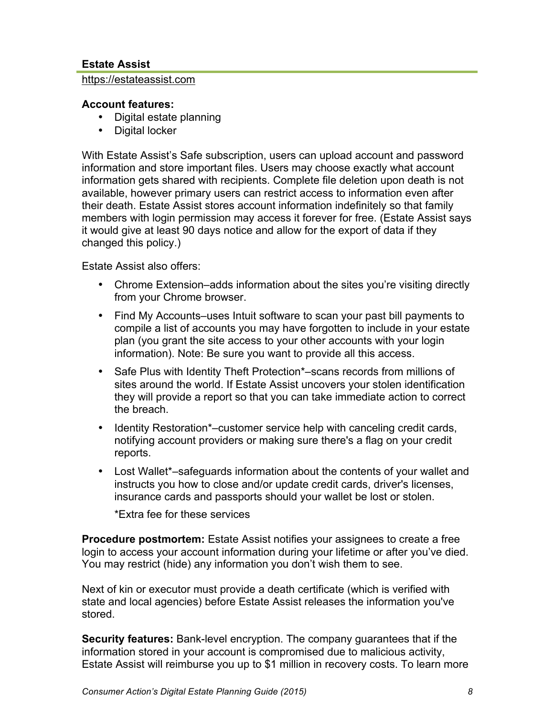### **Estate Assist**

#### https://estateassist.com

#### **Account features:**

- Digital estate planning
- Digital locker

With Estate Assist's Safe subscription, users can upload account and password information and store important files. Users may choose exactly what account information gets shared with recipients. Complete file deletion upon death is not available, however primary users can restrict access to information even after their death. Estate Assist stores account information indefinitely so that family members with login permission may access it forever for free. (Estate Assist says it would give at least 90 days notice and allow for the export of data if they changed this policy.)

Estate Assist also offers:

- Chrome Extension–adds information about the sites you're visiting directly from your Chrome browser.
- Find My Accounts–uses Intuit software to scan your past bill payments to compile a list of accounts you may have forgotten to include in your estate plan (you grant the site access to your other accounts with your login information). Note: Be sure you want to provide all this access.
- Safe Plus with Identity Theft Protection\*–scans records from millions of sites around the world. If Estate Assist uncovers your stolen identification they will provide a report so that you can take immediate action to correct the breach.
- Identity Restoration\*–customer service help with canceling credit cards, notifying account providers or making sure there's a flag on your credit reports.
- Lost Wallet\*–safeguards information about the contents of your wallet and instructs you how to close and/or update credit cards, driver's licenses, insurance cards and passports should your wallet be lost or stolen.

\*Extra fee for these services

**Procedure postmortem:** Estate Assist notifies your assignees to create a free login to access your account information during your lifetime or after you've died. You may restrict (hide) any information you don't wish them to see.

Next of kin or executor must provide a death certificate (which is verified with state and local agencies) before Estate Assist releases the information you've stored.

**Security features:** Bank-level encryption. The company guarantees that if the information stored in your account is compromised due to malicious activity, Estate Assist will reimburse you up to \$1 million in recovery costs. To learn more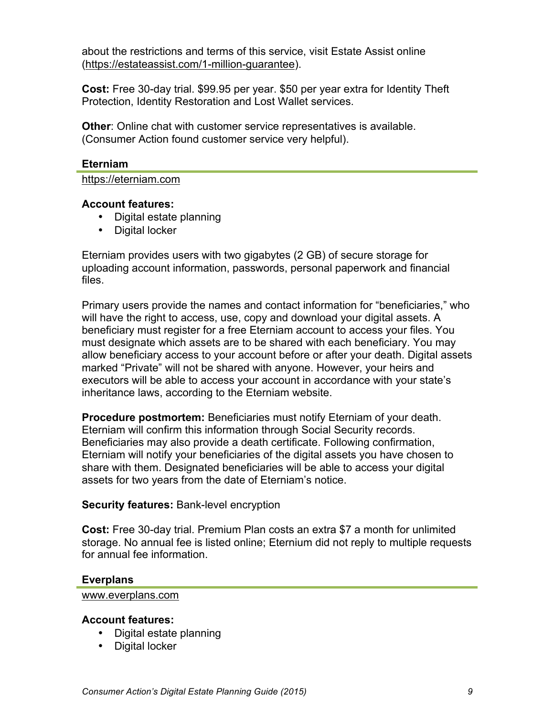about the restrictions and terms of this service, visit Estate Assist online (https://estateassist.com/1-million-guarantee).

**Cost:** Free 30-day trial. \$99.95 per year. \$50 per year extra for Identity Theft Protection, Identity Restoration and Lost Wallet services.

**Other**: Online chat with customer service representatives is available. (Consumer Action found customer service very helpful).

#### **Eterniam**

https://eterniam.com

#### **Account features:**

- Digital estate planning
- Digital locker

Eterniam provides users with two gigabytes (2 GB) of secure storage for uploading account information, passwords, personal paperwork and financial files.

Primary users provide the names and contact information for "beneficiaries," who will have the right to access, use, copy and download your digital assets. A beneficiary must register for a free Eterniam account to access your files. You must designate which assets are to be shared with each beneficiary. You may allow beneficiary access to your account before or after your death. Digital assets marked "Private" will not be shared with anyone. However, your heirs and executors will be able to access your account in accordance with your state's inheritance laws, according to the Eterniam website.

**Procedure postmortem:** Beneficiaries must notify Eterniam of your death. Eterniam will confirm this information through Social Security records. Beneficiaries may also provide a death certificate. Following confirmation, Eterniam will notify your beneficiaries of the digital assets you have chosen to share with them. Designated beneficiaries will be able to access your digital assets for two years from the date of Eterniam's notice.

### **Security features:** Bank-level encryption

**Cost:** Free 30-day trial. Premium Plan costs an extra \$7 a month for unlimited storage. No annual fee is listed online; Eternium did not reply to multiple requests for annual fee information.

#### **Everplans**

www.everplans.com

#### **Account features:**

- Digital estate planning
- Digital locker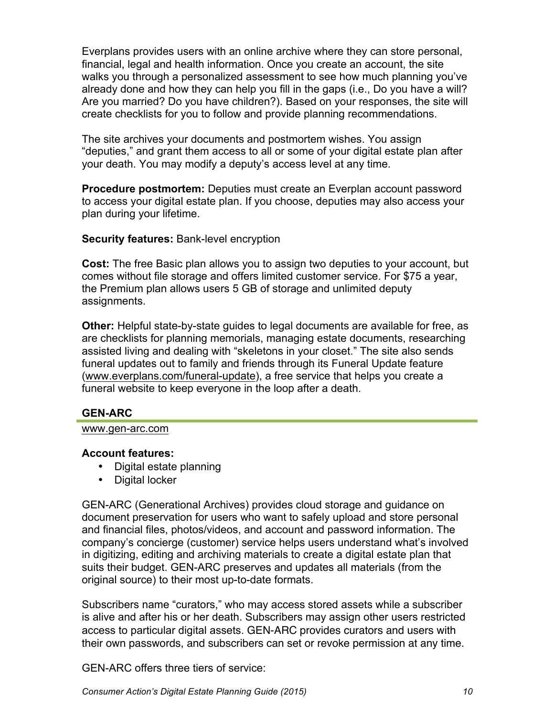Everplans provides users with an online archive where they can store personal, financial, legal and health information. Once you create an account, the site walks you through a personalized assessment to see how much planning you've already done and how they can help you fill in the gaps (i.e., Do you have a will? Are you married? Do you have children?). Based on your responses, the site will create checklists for you to follow and provide planning recommendations.

The site archives your documents and postmortem wishes. You assign "deputies," and grant them access to all or some of your digital estate plan after your death. You may modify a deputy's access level at any time.

**Procedure postmortem:** Deputies must create an Everplan account password to access your digital estate plan. If you choose, deputies may also access your plan during your lifetime.

### **Security features:** Bank-level encryption

**Cost:** The free Basic plan allows you to assign two deputies to your account, but comes without file storage and offers limited customer service. For \$75 a year, the Premium plan allows users 5 GB of storage and unlimited deputy assignments.

**Other:** Helpful state-by-state guides to legal documents are available for free, as are checklists for planning memorials, managing estate documents, researching assisted living and dealing with "skeletons in your closet." The site also sends funeral updates out to family and friends through its Funeral Update feature (www.everplans.com/funeral-update), a free service that helps you create a funeral website to keep everyone in the loop after a death.

## **GEN-ARC**

#### www.gen-arc.com

### **Account features:**

- Digital estate planning
- Digital locker

GEN-ARC (Generational Archives) provides cloud storage and guidance on document preservation for users who want to safely upload and store personal and financial files, photos/videos, and account and password information. The company's concierge (customer) service helps users understand what's involved in digitizing, editing and archiving materials to create a digital estate plan that suits their budget. GEN-ARC preserves and updates all materials (from the original source) to their most up-to-date formats.

Subscribers name "curators," who may access stored assets while a subscriber is alive and after his or her death. Subscribers may assign other users restricted access to particular digital assets. GEN-ARC provides curators and users with their own passwords, and subscribers can set or revoke permission at any time.

GEN-ARC offers three tiers of service: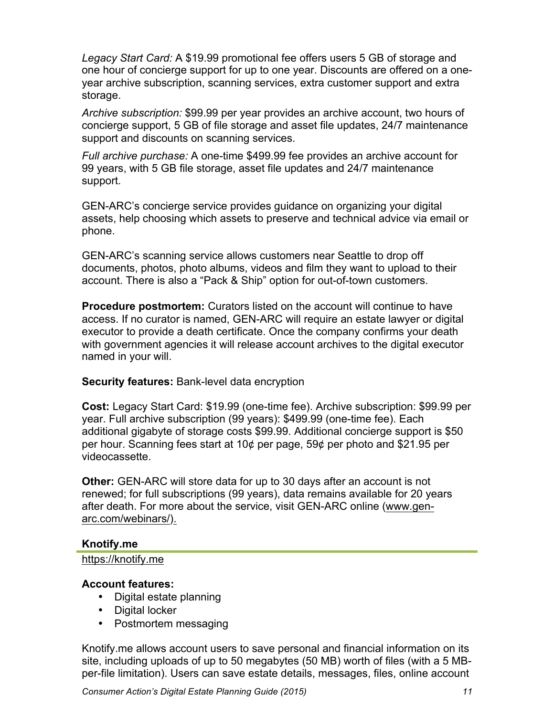*Legacy Start Card:* A \$19.99 promotional fee offers users 5 GB of storage and one hour of concierge support for up to one year. Discounts are offered on a oneyear archive subscription, scanning services, extra customer support and extra storage.

*Archive subscription:* \$99.99 per year provides an archive account, two hours of concierge support, 5 GB of file storage and asset file updates, 24/7 maintenance support and discounts on scanning services.

*Full archive purchase:* A one-time \$499.99 fee provides an archive account for 99 years, with 5 GB file storage, asset file updates and 24/7 maintenance support.

GEN-ARC's concierge service provides guidance on organizing your digital assets, help choosing which assets to preserve and technical advice via email or phone.

GEN-ARC's scanning service allows customers near Seattle to drop off documents, photos, photo albums, videos and film they want to upload to their account. There is also a "Pack & Ship" option for out-of-town customers.

**Procedure postmortem:** Curators listed on the account will continue to have access. If no curator is named, GEN-ARC will require an estate lawyer or digital executor to provide a death certificate. Once the company confirms your death with government agencies it will release account archives to the digital executor named in your will.

### **Security features:** Bank-level data encryption

**Cost:** Legacy Start Card: \$19.99 (one-time fee). Archive subscription: \$99.99 per year. Full archive subscription (99 years): \$499.99 (one-time fee). Each additional gigabyte of storage costs \$99.99. Additional concierge support is \$50 per hour. Scanning fees start at 10¢ per page, 59¢ per photo and \$21.95 per videocassette.

**Other:** GEN-ARC will store data for up to 30 days after an account is not renewed; for full subscriptions (99 years), data remains available for 20 years after death. For more about the service, visit GEN-ARC online (www.genarc.com/webinars/).

### **Knotify.me**

### https://knotify.me

### **Account features:**

- Digital estate planning
- Digital locker
- Postmortem messaging

Knotify.me allows account users to save personal and financial information on its site, including uploads of up to 50 megabytes (50 MB) worth of files (with a 5 MBper-file limitation). Users can save estate details, messages, files, online account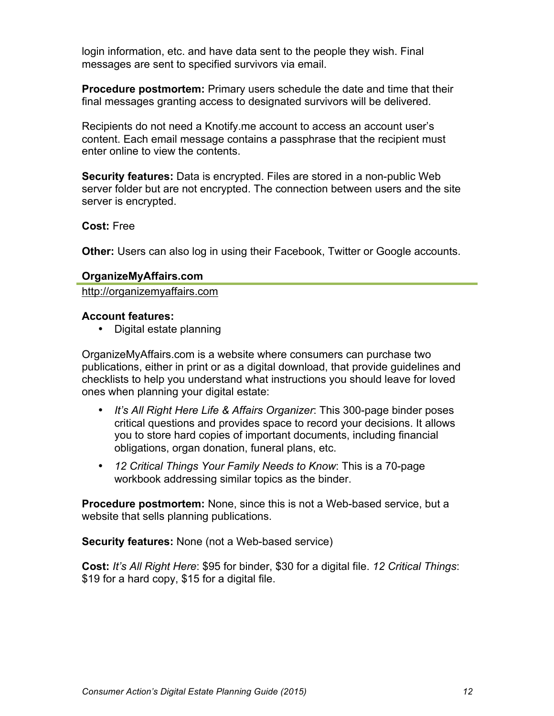login information, etc. and have data sent to the people they wish. Final messages are sent to specified survivors via email.

**Procedure postmortem:** Primary users schedule the date and time that their final messages granting access to designated survivors will be delivered.

Recipients do not need a Knotify.me account to access an account user's content. Each email message contains a passphrase that the recipient must enter online to view the contents.

**Security features:** Data is encrypted. Files are stored in a non-public Web server folder but are not encrypted. The connection between users and the site server is encrypted.

#### **Cost:** Free

**Other:** Users can also log in using their Facebook, Twitter or Google accounts.

#### **OrganizeMyAffairs.com**

http://organizemyaffairs.com

#### **Account features:**

• Digital estate planning

OrganizeMyAffairs.com is a website where consumers can purchase two publications, either in print or as a digital download, that provide guidelines and checklists to help you understand what instructions you should leave for loved ones when planning your digital estate:

- *It's All Right Here Life & Affairs Organizer*: This 300-page binder poses critical questions and provides space to record your decisions. It allows you to store hard copies of important documents, including financial obligations, organ donation, funeral plans, etc.
- *12 Critical Things Your Family Needs to Know*: This is a 70-page workbook addressing similar topics as the binder.

**Procedure postmortem:** None, since this is not a Web-based service, but a website that sells planning publications.

**Security features:** None (not a Web-based service)

**Cost:** *It's All Right Here*: \$95 for binder, \$30 for a digital file. *12 Critical Things*: \$19 for a hard copy, \$15 for a digital file.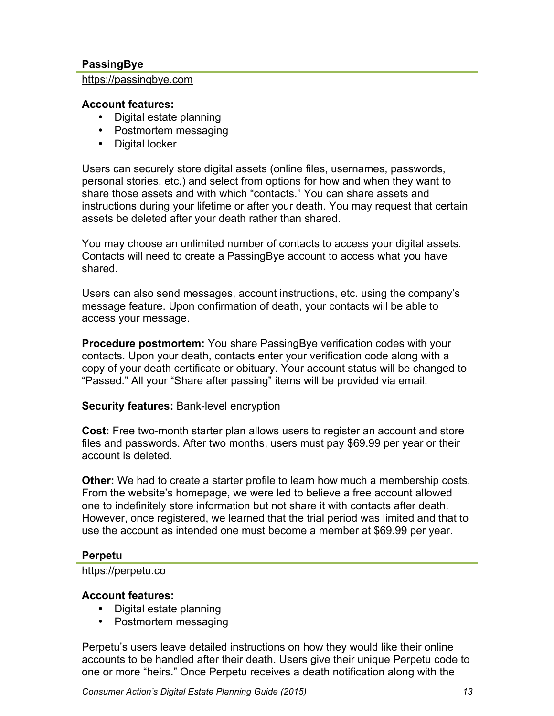### **PassingBye**

#### https://passingbye.com

#### **Account features:**

- Digital estate planning
- Postmortem messaging
- Digital locker

Users can securely store digital assets (online files, usernames, passwords, personal stories, etc.) and select from options for how and when they want to share those assets and with which "contacts." You can share assets and instructions during your lifetime or after your death. You may request that certain assets be deleted after your death rather than shared.

You may choose an unlimited number of contacts to access your digital assets. Contacts will need to create a PassingBye account to access what you have shared.

Users can also send messages, account instructions, etc. using the company's message feature. Upon confirmation of death, your contacts will be able to access your message.

**Procedure postmortem:** You share PassingBye verification codes with your contacts. Upon your death, contacts enter your verification code along with a copy of your death certificate or obituary. Your account status will be changed to "Passed." All your "Share after passing" items will be provided via email.

### **Security features:** Bank-level encryption

**Cost:** Free two-month starter plan allows users to register an account and store files and passwords. After two months, users must pay \$69.99 per year or their account is deleted.

**Other:** We had to create a starter profile to learn how much a membership costs. From the website's homepage, we were led to believe a free account allowed one to indefinitely store information but not share it with contacts after death. However, once registered, we learned that the trial period was limited and that to use the account as intended one must become a member at \$69.99 per year.

### **Perpetu**

#### https://perpetu.co

### **Account features:**

- Digital estate planning
- Postmortem messaging

Perpetu's users leave detailed instructions on how they would like their online accounts to be handled after their death. Users give their unique Perpetu code to one or more "heirs." Once Perpetu receives a death notification along with the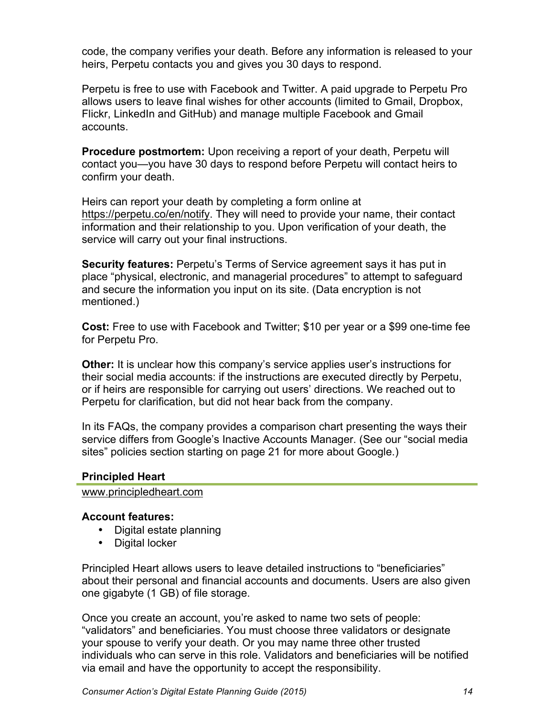code, the company verifies your death. Before any information is released to your heirs, Perpetu contacts you and gives you 30 days to respond.

Perpetu is free to use with Facebook and Twitter. A paid upgrade to Perpetu Pro allows users to leave final wishes for other accounts (limited to Gmail, Dropbox, Flickr, LinkedIn and GitHub) and manage multiple Facebook and Gmail accounts.

**Procedure postmortem:** Upon receiving a report of your death, Perpetu will contact you—you have 30 days to respond before Perpetu will contact heirs to confirm your death.

Heirs can report your death by completing a form online at https://perpetu.co/en/notify. They will need to provide your name, their contact information and their relationship to you. Upon verification of your death, the service will carry out your final instructions.

**Security features:** Perpetu's Terms of Service agreement says it has put in place "physical, electronic, and managerial procedures" to attempt to safeguard and secure the information you input on its site. (Data encryption is not mentioned.)

**Cost:** Free to use with Facebook and Twitter; \$10 per year or a \$99 one-time fee for Perpetu Pro.

**Other:** It is unclear how this company's service applies user's instructions for their social media accounts: if the instructions are executed directly by Perpetu, or if heirs are responsible for carrying out users' directions. We reached out to Perpetu for clarification, but did not hear back from the company.

In its FAQs, the company provides a comparison chart presenting the ways their service differs from Google's Inactive Accounts Manager. (See our "social media sites" policies section starting on page 21 for more about Google.)

### **Principled Heart**

www.principledheart.com

#### **Account features:**

- Digital estate planning
- Digital locker

Principled Heart allows users to leave detailed instructions to "beneficiaries" about their personal and financial accounts and documents. Users are also given one gigabyte (1 GB) of file storage.

Once you create an account, you're asked to name two sets of people: "validators" and beneficiaries. You must choose three validators or designate your spouse to verify your death. Or you may name three other trusted individuals who can serve in this role. Validators and beneficiaries will be notified via email and have the opportunity to accept the responsibility.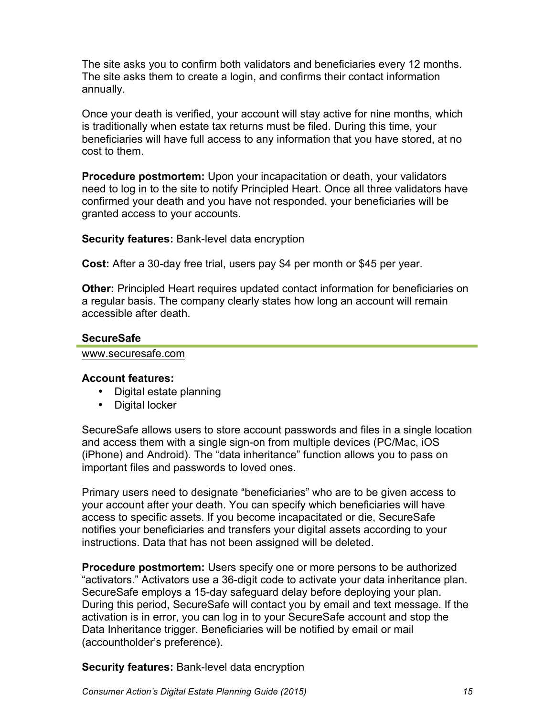The site asks you to confirm both validators and beneficiaries every 12 months. The site asks them to create a login, and confirms their contact information annually.

Once your death is verified, your account will stay active for nine months, which is traditionally when estate tax returns must be filed. During this time, your beneficiaries will have full access to any information that you have stored, at no cost to them.

**Procedure postmortem:** Upon your incapacitation or death, your validators need to log in to the site to notify Principled Heart. Once all three validators have confirmed your death and you have not responded, your beneficiaries will be granted access to your accounts.

**Security features:** Bank-level data encryption

**Cost:** After a 30-day free trial, users pay \$4 per month or \$45 per year.

**Other:** Principled Heart requires updated contact information for beneficiaries on a regular basis. The company clearly states how long an account will remain accessible after death.

### **SecureSafe**

www.securesafe.com

### **Account features:**

- Digital estate planning
- Digital locker

SecureSafe allows users to store account passwords and files in a single location and access them with a single sign-on from multiple devices (PC/Mac, iOS (iPhone) and Android). The "data inheritance" function allows you to pass on important files and passwords to loved ones.

Primary users need to designate "beneficiaries" who are to be given access to your account after your death. You can specify which beneficiaries will have access to specific assets. If you become incapacitated or die, SecureSafe notifies your beneficiaries and transfers your digital assets according to your instructions. Data that has not been assigned will be deleted.

**Procedure postmortem:** Users specify one or more persons to be authorized "activators." Activators use a 36-digit code to activate your data inheritance plan. SecureSafe employs a 15-day safeguard delay before deploying your plan. During this period, SecureSafe will contact you by email and text message. If the activation is in error, you can log in to your SecureSafe account and stop the Data Inheritance trigger. Beneficiaries will be notified by email or mail (accountholder's preference).

**Security features:** Bank-level data encryption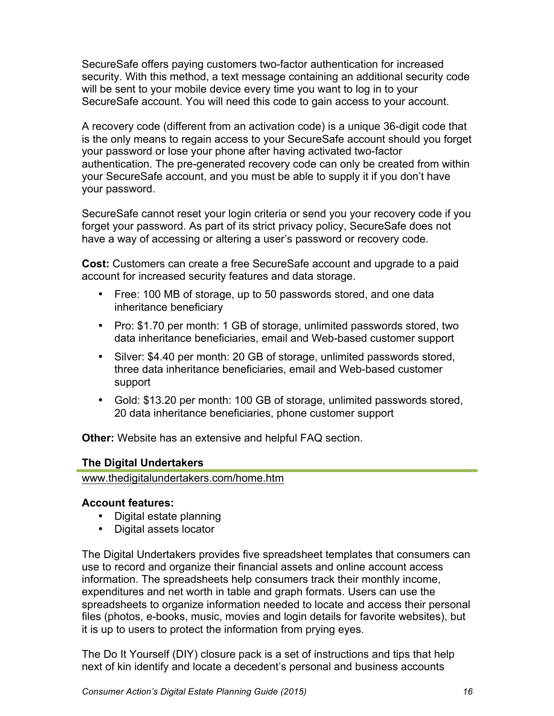SecureSafe offers paying customers two-factor authentication for increased security. With this method, a text message containing an additional security code will be sent to your mobile device every time you want to log in to your SecureSafe account. You will need this code to gain access to your account.

A recovery code (different from an activation code) is a unique 36-digit code that is the only means to regain access to your SecureSafe account should you forget your password or lose your phone after having activated two-factor authentication. The pre-generated recovery code can only be created from within your SecureSafe account, and you must be able to supply it if you don't have your password.

SecureSafe cannot reset your login criteria or send you your recovery code if you forget your password. As part of its strict privacy policy, SecureSafe does not have a way of accessing or altering a user's password or recovery code.

**Cost:** Customers can create a free SecureSafe account and upgrade to a paid account for increased security features and data storage.

- Free: 100 MB of storage, up to 50 passwords stored, and one data inheritance beneficiary
- Pro: \$1.70 per month: 1 GB of storage, unlimited passwords stored, two data inheritance beneficiaries, email and Web-based customer support
- Silver: \$4.40 per month: 20 GB of storage, unlimited passwords stored, three data inheritance beneficiaries, email and Web-based customer support
- Gold: \$13.20 per month: 100 GB of storage, unlimited passwords stored, 20 data inheritance beneficiaries, phone customer support

**Other:** Website has an extensive and helpful FAQ section.

### **The Digital Undertakers**

www.thedigitalundertakers.com/home.htm

## **Account features:**

- Digital estate planning
- Digital assets locator

The Digital Undertakers provides five spreadsheet templates that consumers can use to record and organize their financial assets and online account access information. The spreadsheets help consumers track their monthly income, expenditures and net worth in table and graph formats. Users can use the spreadsheets to organize information needed to locate and access their personal files (photos, e-books, music, movies and login details for favorite websites), but it is up to users to protect the information from prying eyes.

The Do It Yourself (DIY) closure pack is a set of instructions and tips that help next of kin identify and locate a decedent's personal and business accounts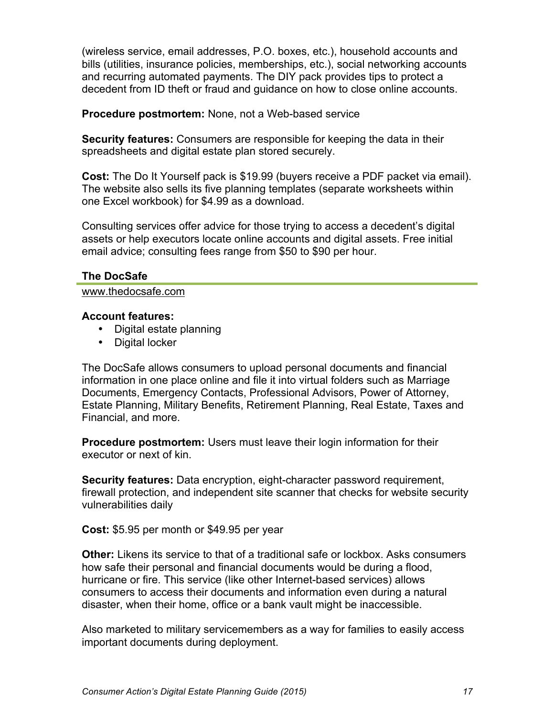(wireless service, email addresses, P.O. boxes, etc.), household accounts and bills (utilities, insurance policies, memberships, etc.), social networking accounts and recurring automated payments. The DIY pack provides tips to protect a decedent from ID theft or fraud and guidance on how to close online accounts.

**Procedure postmortem:** None, not a Web-based service

**Security features:** Consumers are responsible for keeping the data in their spreadsheets and digital estate plan stored securely.

**Cost:** The Do It Yourself pack is \$19.99 (buyers receive a PDF packet via email). The website also sells its five planning templates (separate worksheets within one Excel workbook) for \$4.99 as a download.

Consulting services offer advice for those trying to access a decedent's digital assets or help executors locate online accounts and digital assets. Free initial email advice; consulting fees range from \$50 to \$90 per hour.

#### **The DocSafe**

www.thedocsafe.com

#### **Account features:**

- Digital estate planning
- Digital locker

The DocSafe allows consumers to upload personal documents and financial information in one place online and file it into virtual folders such as Marriage Documents, Emergency Contacts, Professional Advisors, Power of Attorney, Estate Planning, Military Benefits, Retirement Planning, Real Estate, Taxes and Financial, and more.

**Procedure postmortem:** Users must leave their login information for their executor or next of kin.

**Security features:** Data encryption, eight-character password requirement, firewall protection, and independent site scanner that checks for website security vulnerabilities daily

**Cost:** \$5.95 per month or \$49.95 per year

**Other:** Likens its service to that of a traditional safe or lockbox. Asks consumers how safe their personal and financial documents would be during a flood, hurricane or fire. This service (like other Internet-based services) allows consumers to access their documents and information even during a natural disaster, when their home, office or a bank vault might be inaccessible.

Also marketed to military servicemembers as a way for families to easily access important documents during deployment.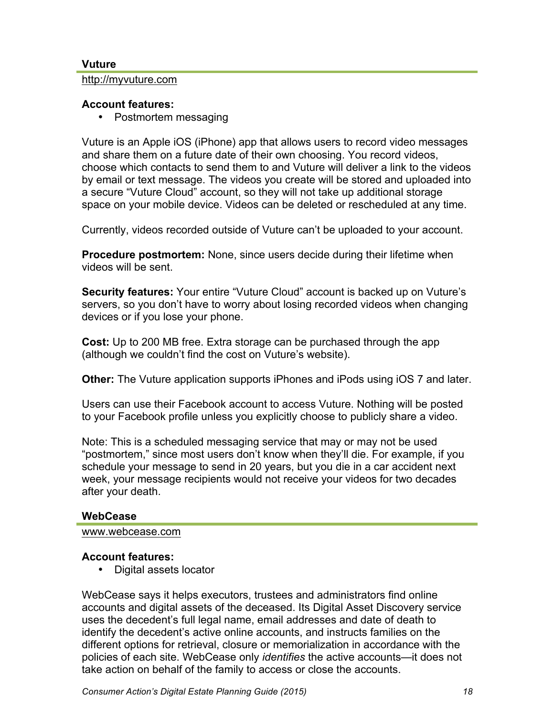#### **Vuture**

http://myvuture.com

#### **Account features:**

• Postmortem messaging

Vuture is an Apple iOS (iPhone) app that allows users to record video messages and share them on a future date of their own choosing. You record videos, choose which contacts to send them to and Vuture will deliver a link to the videos by email or text message. The videos you create will be stored and uploaded into a secure "Vuture Cloud" account, so they will not take up additional storage space on your mobile device. Videos can be deleted or rescheduled at any time.

Currently, videos recorded outside of Vuture can't be uploaded to your account.

**Procedure postmortem:** None, since users decide during their lifetime when videos will be sent.

**Security features:** Your entire "Vuture Cloud" account is backed up on Vuture's servers, so you don't have to worry about losing recorded videos when changing devices or if you lose your phone.

**Cost:** Up to 200 MB free. Extra storage can be purchased through the app (although we couldn't find the cost on Vuture's website).

**Other:** The Vuture application supports iPhones and iPods using iOS 7 and later.

Users can use their Facebook account to access Vuture. Nothing will be posted to your Facebook profile unless you explicitly choose to publicly share a video.

Note: This is a scheduled messaging service that may or may not be used "postmortem," since most users don't know when they'll die. For example, if you schedule your message to send in 20 years, but you die in a car accident next week, your message recipients would not receive your videos for two decades after your death.

#### **WebCease**

www.webcease.com

### **Account features:**

• Digital assets locator

WebCease says it helps executors, trustees and administrators find online accounts and digital assets of the deceased. Its Digital Asset Discovery service uses the decedent's full legal name, email addresses and date of death to identify the decedent's active online accounts, and instructs families on the different options for retrieval, closure or memorialization in accordance with the policies of each site. WebCease only *identifies* the active accounts—it does not take action on behalf of the family to access or close the accounts.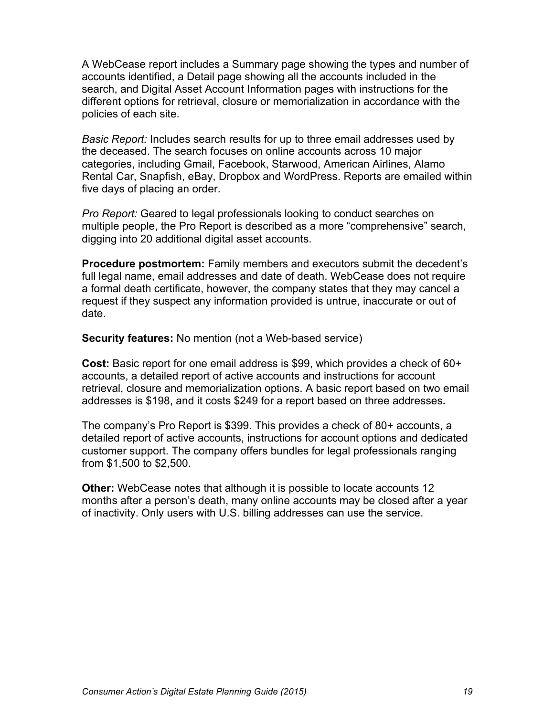A WebCease report includes a Summary page showing the types and number of accounts identified, a Detail page showing all the accounts included in the search, and Digital Asset Account Information pages with instructions for the different options for retrieval, closure or memorialization in accordance with the policies of each site.

*Basic Report:* Includes search results for up to three email addresses used by the deceased. The search focuses on online accounts across 10 major categories, including Gmail, Facebook, Starwood, American Airlines, Alamo Rental Car, Snapfish, eBay, Dropbox and WordPress. Reports are emailed within five days of placing an order.

*Pro Report:* Geared to legal professionals looking to conduct searches on multiple people, the Pro Report is described as a more "comprehensive" search, digging into 20 additional digital asset accounts.

**Procedure postmortem:** Family members and executors submit the decedent's full legal name, email addresses and date of death. WebCease does not require a formal death certificate, however, the company states that they may cancel a request if they suspect any information provided is untrue, inaccurate or out of date.

**Security features:** No mention (not a Web-based service)

**Cost:** Basic report for one email address is \$99, which provides a check of 60+ accounts, a detailed report of active accounts and instructions for account retrieval, closure and memorialization options. A basic report based on two email addresses is \$198, and it costs \$249 for a report based on three addresses**.**

The company's Pro Report is \$399. This provides a check of 80+ accounts, a detailed report of active accounts, instructions for account options and dedicated customer support. The company offers bundles for legal professionals ranging from \$1,500 to \$2,500.

**Other:** WebCease notes that although it is possible to locate accounts 12 months after a person's death, many online accounts may be closed after a year of inactivity. Only users with U.S. billing addresses can use the service.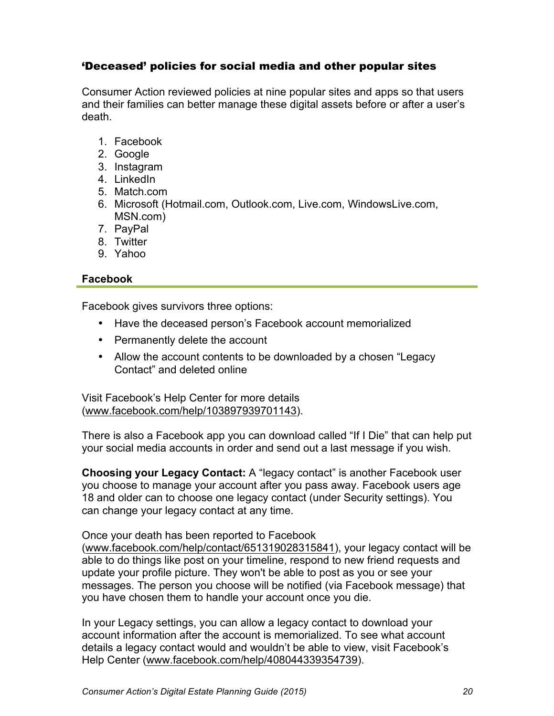## 'Deceased' policies for social media and other popular sites

Consumer Action reviewed policies at nine popular sites and apps so that users and their families can better manage these digital assets before or after a user's death.

- 1. Facebook
- 2. Google
- 3. Instagram
- 4. LinkedIn
- 5. Match.com
- 6. Microsoft (Hotmail.com, Outlook.com, Live.com, WindowsLive.com, MSN.com)
- 7. PayPal
- 8. Twitter
- 9. Yahoo

### **Facebook**

Facebook gives survivors three options:

- Have the deceased person's Facebook account memorialized
- Permanently delete the account
- Allow the account contents to be downloaded by a chosen "Legacy" Contact" and deleted online

Visit Facebook's Help Center for more details (www.facebook.com/help/103897939701143).

There is also a Facebook app you can download called "If I Die" that can help put your social media accounts in order and send out a last message if you wish.

**Choosing your Legacy Contact:** A "legacy contact" is another Facebook user you choose to manage your account after you pass away. Facebook users age 18 and older can to choose one legacy contact (under Security settings). You can change your legacy contact at any time.

Once your death has been reported to Facebook

(www.facebook.com/help/contact/651319028315841), your legacy contact will be able to do things like post on your timeline, respond to new friend requests and update your profile picture. They won't be able to post as you or see your messages. The person you choose will be notified (via Facebook message) that you have chosen them to handle your account once you die.

In your Legacy settings, you can allow a legacy contact to download your account information after the account is memorialized. To see what account details a legacy contact would and wouldn't be able to view, visit Facebook's Help Center (www.facebook.com/help/408044339354739).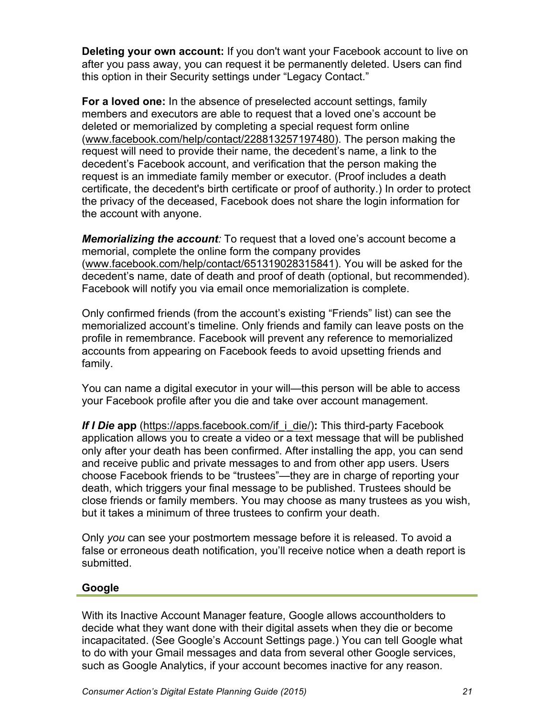**Deleting your own account:** If you don't want your Facebook account to live on after you pass away, you can request it be permanently deleted. Users can find this option in their Security settings under "Legacy Contact."

**For a loved one:** In the absence of preselected account settings, family members and executors are able to request that a loved one's account be deleted or memorialized by completing a special request form online (www.facebook.com/help/contact/228813257197480). The person making the request will need to provide their name, the decedent's name, a link to the decedent's Facebook account, and verification that the person making the request is an immediate family member or executor. (Proof includes a death certificate, the decedent's birth certificate or proof of authority.) In order to protect the privacy of the deceased, Facebook does not share the login information for the account with anyone.

*Memorializing the account:* To request that a loved one's account become a memorial, complete the online form the company provides (www.facebook.com/help/contact/651319028315841). You will be asked for the decedent's name, date of death and proof of death (optional, but recommended). Facebook will notify you via email once memorialization is complete.

Only confirmed friends (from the account's existing "Friends" list) can see the memorialized account's timeline. Only friends and family can leave posts on the profile in remembrance. Facebook will prevent any reference to memorialized accounts from appearing on Facebook feeds to avoid upsetting friends and family.

You can name a digital executor in your will—this person will be able to access your Facebook profile after you die and take over account management.

**If I Die app** (https://apps.facebook.com/if i\_die/): This third-party Facebook application allows you to create a video or a text message that will be published only after your death has been confirmed. After installing the app, you can send and receive public and private messages to and from other app users. Users choose Facebook friends to be "trustees"—they are in charge of reporting your death, which triggers your final message to be published. Trustees should be close friends or family members. You may choose as many trustees as you wish, but it takes a minimum of three trustees to confirm your death.

Only *you* can see your postmortem message before it is released. To avoid a false or erroneous death notification, you'll receive notice when a death report is submitted.

### **Google**

With its Inactive Account Manager feature, Google allows accountholders to decide what they want done with their digital assets when they die or become incapacitated. (See Google's Account Settings page.) You can tell Google what to do with your Gmail messages and data from several other Google services, such as Google Analytics, if your account becomes inactive for any reason.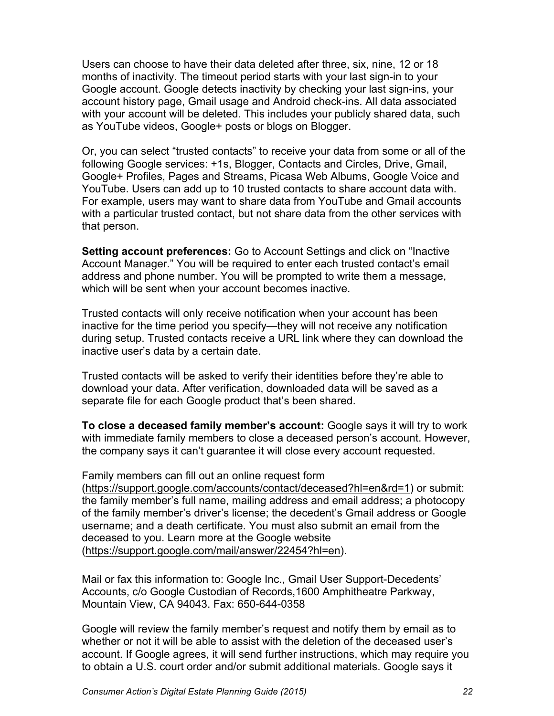Users can choose to have their data deleted after three, six, nine, 12 or 18 months of inactivity. The timeout period starts with your last sign-in to your Google account. Google detects inactivity by checking your last sign-ins, your account history page, Gmail usage and Android check-ins. All data associated with your account will be deleted. This includes your publicly shared data, such as YouTube videos, Google+ posts or blogs on Blogger.

Or, you can select "trusted contacts" to receive your data from some or all of the following Google services: +1s, Blogger, Contacts and Circles, Drive, Gmail, Google+ Profiles, Pages and Streams, Picasa Web Albums, Google Voice and YouTube. Users can add up to 10 trusted contacts to share account data with. For example, users may want to share data from YouTube and Gmail accounts with a particular trusted contact, but not share data from the other services with that person.

**Setting account preferences:** Go to Account Settings and click on "Inactive Account Manager." You will be required to enter each trusted contact's email address and phone number. You will be prompted to write them a message, which will be sent when your account becomes inactive.

Trusted contacts will only receive notification when your account has been inactive for the time period you specify—they will not receive any notification during setup. Trusted contacts receive a URL link where they can download the inactive user's data by a certain date.

Trusted contacts will be asked to verify their identities before they're able to download your data. After verification, downloaded data will be saved as a separate file for each Google product that's been shared.

**To close a deceased family member's account:** Google says it will try to work with immediate family members to close a deceased person's account. However, the company says it can't guarantee it will close every account requested.

Family members can fill out an online request form (https://support.google.com/accounts/contact/deceased?hl=en&rd=1) or submit: the family member's full name, mailing address and email address; a photocopy of the family member's driver's license; the decedent's Gmail address or Google username; and a death certificate. You must also submit an email from the deceased to you. Learn more at the Google website (https://support.google.com/mail/answer/22454?hl=en).

Mail or fax this information to: Google Inc., Gmail User Support-Decedents' Accounts, c/o Google Custodian of Records,1600 Amphitheatre Parkway, Mountain View, CA 94043. Fax: 650-644-0358

Google will review the family member's request and notify them by email as to whether or not it will be able to assist with the deletion of the deceased user's account. If Google agrees, it will send further instructions, which may require you to obtain a U.S. court order and/or submit additional materials. Google says it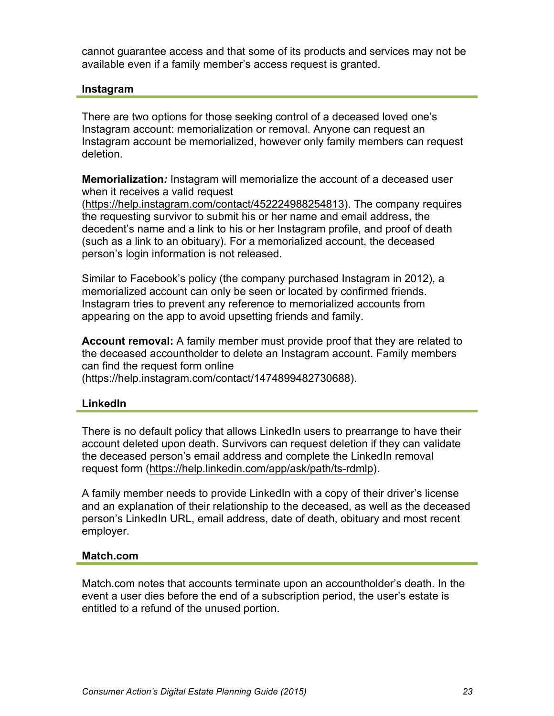cannot guarantee access and that some of its products and services may not be available even if a family member's access request is granted.

#### **Instagram**

There are two options for those seeking control of a deceased loved one's Instagram account: memorialization or removal. Anyone can request an Instagram account be memorialized, however only family members can request deletion.

**Memorialization***:* Instagram will memorialize the account of a deceased user when it receives a valid request

(https://help.instagram.com/contact/452224988254813). The company requires the requesting survivor to submit his or her name and email address, the decedent's name and a link to his or her Instagram profile, and proof of death (such as a link to an obituary). For a memorialized account, the deceased person's login information is not released.

Similar to Facebook's policy (the company purchased Instagram in 2012), a memorialized account can only be seen or located by confirmed friends. Instagram tries to prevent any reference to memorialized accounts from appearing on the app to avoid upsetting friends and family.

**Account removal:** A family member must provide proof that they are related to the deceased accountholder to delete an Instagram account. Family members can find the request form online (https://help.instagram.com/contact/1474899482730688).

#### **LinkedIn**

There is no default policy that allows LinkedIn users to prearrange to have their account deleted upon death. Survivors can request deletion if they can validate the deceased person's email address and complete the LinkedIn removal request form (https://help.linkedin.com/app/ask/path/ts-rdmlp).

A family member needs to provide LinkedIn with a copy of their driver's license and an explanation of their relationship to the deceased, as well as the deceased person's LinkedIn URL, email address, date of death, obituary and most recent employer.

#### **Match.com**

Match.com notes that accounts terminate upon an accountholder's death. In the event a user dies before the end of a subscription period, the user's estate is entitled to a refund of the unused portion.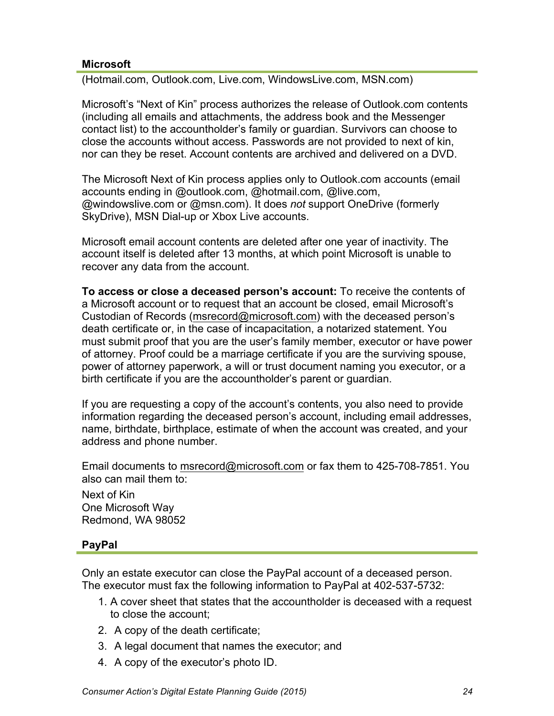#### **Microsoft**

(Hotmail.com, Outlook.com, Live.com, WindowsLive.com, MSN.com)

Microsoft's "Next of Kin" process authorizes the release of Outlook.com contents (including all emails and attachments, the address book and the Messenger contact list) to the accountholder's family or guardian. Survivors can choose to close the accounts without access. Passwords are not provided to next of kin, nor can they be reset. Account contents are archived and delivered on a DVD.

The Microsoft Next of Kin process applies only to Outlook.com accounts (email accounts ending in @outlook.com, @hotmail.com, @live.com, @windowslive.com or @msn.com). It does *not* support OneDrive (formerly SkyDrive), MSN Dial-up or Xbox Live accounts.

Microsoft email account contents are deleted after one year of inactivity. The account itself is deleted after 13 months, at which point Microsoft is unable to recover any data from the account.

**To access or close a deceased person's account:** To receive the contents of a Microsoft account or to request that an account be closed, email Microsoft's Custodian of Records (msrecord@microsoft.com) with the deceased person's death certificate or, in the case of incapacitation, a notarized statement. You must submit proof that you are the user's family member, executor or have power of attorney. Proof could be a marriage certificate if you are the surviving spouse, power of attorney paperwork, a will or trust document naming you executor, or a birth certificate if you are the accountholder's parent or guardian.

If you are requesting a copy of the account's contents, you also need to provide information regarding the deceased person's account, including email addresses, name, birthdate, birthplace, estimate of when the account was created, and your address and phone number.

Email documents to msrecord@microsoft.com or fax them to 425-708-7851. You also can mail them to:

Next of Kin One Microsoft Way Redmond, WA 98052

### **PayPal**

Only an estate executor can close the PayPal account of a deceased person. The executor must fax the following information to PayPal at 402-537-5732:

- 1. A cover sheet that states that the accountholder is deceased with a request to close the account;
- 2. A copy of the death certificate;
- 3. A legal document that names the executor; and
- 4. A copy of the executor's photo ID.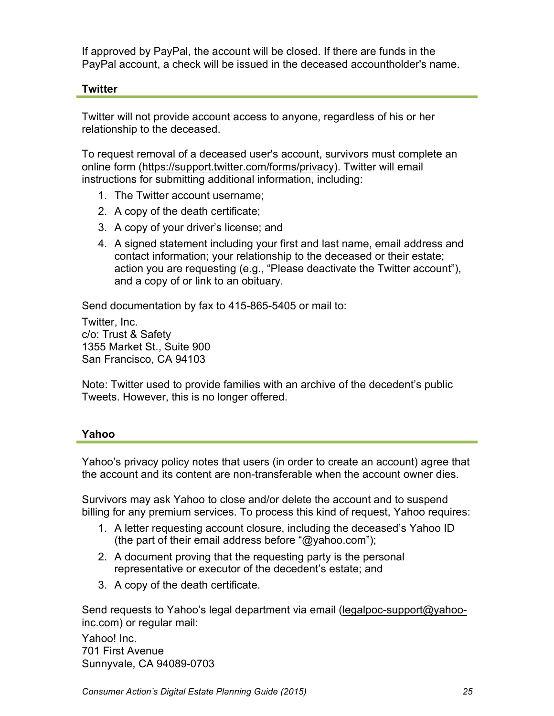If approved by PayPal, the account will be closed. If there are funds in the PayPal account, a check will be issued in the deceased accountholder's name.

## **Twitter**

Twitter will not provide account access to anyone, regardless of his or her relationship to the deceased.

To request removal of a deceased user's account, survivors must complete an online form (https://support.twitter.com/forms/privacy). Twitter will email instructions for submitting additional information, including:

- 1. The Twitter account username;
- 2. A copy of the death certificate;
- 3. A copy of your driver's license; and
- 4. A signed statement including your first and last name, email address and contact information; your relationship to the deceased or their estate; action you are requesting (e.g., "Please deactivate the Twitter account"), and a copy of or link to an obituary.

Send documentation by fax to 415-865-5405 or mail to:

Twitter, Inc. c/o: Trust & Safety 1355 Market St., Suite 900 San Francisco, CA 94103

Note: Twitter used to provide families with an archive of the decedent's public Tweets. However, this is no longer offered.

### **Yahoo**

Yahoo's privacy policy notes that users (in order to create an account) agree that the account and its content are non-transferable when the account owner dies.

Survivors may ask Yahoo to close and/or delete the account and to suspend billing for any premium services. To process this kind of request, Yahoo requires:

- 1. A letter requesting account closure, including the deceased's Yahoo ID (the part of their email address before "@yahoo.com");
- 2. A document proving that the requesting party is the personal representative or executor of the decedent's estate; and
- 3. A copy of the death certificate.

Send requests to Yahoo's legal department via email (legalpoc-support@yahooinc.com) or regular mail:

Yahoo! Inc. 701 First Avenue Sunnyvale, CA 94089-0703